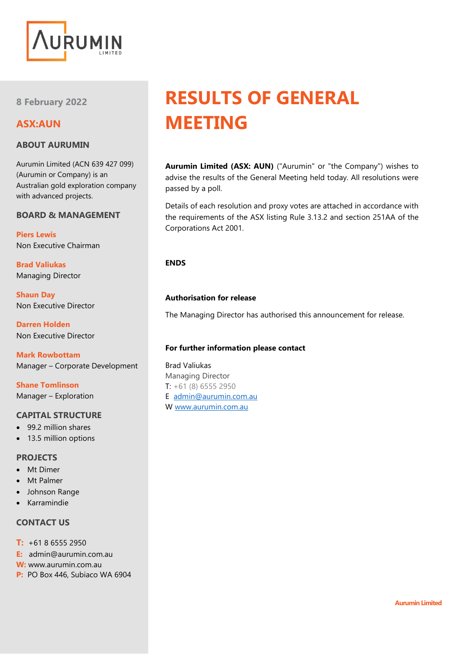

**8 February 2022**

# **ASX:AUN**

## **ABOUT AURUMIN**

Aurumin Limited (ACN 639 427 099) (Aurumin or Company) is an Australian gold exploration company with advanced projects.

### **BOARD & MANAGEMENT**

**Piers Lewis** Non Executive Chairman

**Brad Valiukas** Managing Director

**Shaun Day** Non Executive Director

**Darren Holden** Non Executive Director

**Mark Rowbottam** Manager – Corporate Development

**Shane Tomlinson** Manager – Exploration

### **CAPITAL STRUCTURE**

- 99.2 million shares
- 13.5 million options

### **PROJECTS**

- Mt Dimer
- **Mt Palmer**
- Johnson Range
- Karramindie

### **CONTACT US**

- **T:** +61 8 6555 2950
- **E:** admin@aurumin.com.au
- **W:** www.aurumin.com.au
- **P:** PO Box 446, Subiaco WA 6904

# **RESULTS OF GENERAL MEETING**

**Aurumin Limited (ASX: AUN)** ("Aurumin" or "the Company") wishes to advise the results of the General Meeting held today. All resolutions were passed by a poll.

Details of each resolution and proxy votes are attached in accordance with the requirements of the ASX listing Rule 3.13.2 and section 251AA of the Corporations Act 2001.

### **ENDS**

### **Authorisation for release**

The Managing Director has authorised this announcement for release.

### **For further information please contact**

Brad Valiukas Managing Director T: +61 (8) 6555 2950 E [admin@aurumin.com.au](mailto:admin@aurumin.com.au) W [www.aurumin.com.au](http://www.aurumin.com.au/)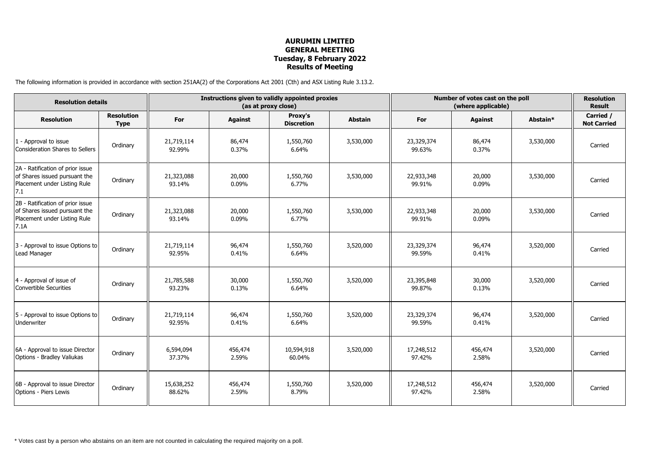## **AURUMIN LIMITED GENERAL MEETING Tuesday, 8 February 2022 Results of Meeting**

The following information is provided in accordance with section 251AA(2) of the Corporations Act 2001 (Cth) and ASX Listing Rule 3.13.2.

| <b>Resolution details</b>                                                                                 |                                  | Instructions given to validly appointed proxies<br>(as at proxy close) |                  |                              |                | Number of votes cast on the poll<br>(where applicable) |                  |           | <b>Resolution</b><br><b>Result</b>     |
|-----------------------------------------------------------------------------------------------------------|----------------------------------|------------------------------------------------------------------------|------------------|------------------------------|----------------|--------------------------------------------------------|------------------|-----------|----------------------------------------|
| <b>Resolution</b>                                                                                         | <b>Resolution</b><br><b>Type</b> | For                                                                    | <b>Against</b>   | Proxy's<br><b>Discretion</b> | <b>Abstain</b> | For                                                    | <b>Against</b>   | Abstain*  | <b>Carried /</b><br><b>Not Carried</b> |
| 1 - Approval to issue<br>Consideration Shares to Sellers                                                  | Ordinary                         | 21,719,114<br>92.99%                                                   | 86,474<br>0.37%  | 1,550,760<br>6.64%           | 3,530,000      | 23,329,374<br>99.63%                                   | 86,474<br>0.37%  | 3,530,000 | Carried                                |
| 2A - Ratification of prior issue<br>of Shares issued pursuant the<br>Placement under Listing Rule<br>7.1  | Ordinary                         | 21,323,088<br>93.14%                                                   | 20,000<br>0.09%  | 1,550,760<br>6.77%           | 3,530,000      | 22,933,348<br>99.91%                                   | 20,000<br>0.09%  | 3,530,000 | Carried                                |
| 2B - Ratification of prior issue<br>of Shares issued pursuant the<br>Placement under Listing Rule<br>7.1A | Ordinary                         | 21,323,088<br>93.14%                                                   | 20,000<br>0.09%  | 1,550,760<br>6.77%           | 3,530,000      | 22,933,348<br>99.91%                                   | 20,000<br>0.09%  | 3,530,000 | Carried                                |
| 3 - Approval to issue Options to<br>Lead Manager                                                          | Ordinary                         | 21,719,114<br>92.95%                                                   | 96,474<br>0.41%  | 1,550,760<br>6.64%           | 3,520,000      | 23,329,374<br>99.59%                                   | 96,474<br>0.41%  | 3,520,000 | Carried                                |
| 4 - Approval of issue of<br>Convertible Securities                                                        | Ordinary                         | 21,785,588<br>93.23%                                                   | 30,000<br>0.13%  | 1,550,760<br>6.64%           | 3,520,000      | 23,395,848<br>99.87%                                   | 30,000<br>0.13%  | 3,520,000 | Carried                                |
| 5 - Approval to issue Options to<br>Underwriter                                                           | Ordinary                         | 21,719,114<br>92.95%                                                   | 96,474<br>0.41%  | 1,550,760<br>6.64%           | 3,520,000      | 23,329,374<br>99.59%                                   | 96,474<br>0.41%  | 3,520,000 | Carried                                |
| 6A - Approval to issue Director<br>Options - Bradley Valiukas                                             | Ordinary                         | 6,594,094<br>37.37%                                                    | 456,474<br>2.59% | 10,594,918<br>60.04%         | 3,520,000      | 17,248,512<br>97.42%                                   | 456,474<br>2.58% | 3,520,000 | Carried                                |
| 6B - Approval to issue Director<br>Options - Piers Lewis                                                  | Ordinary                         | 15,638,252<br>88.62%                                                   | 456,474<br>2.59% | 1,550,760<br>8.79%           | 3,520,000      | 17,248,512<br>97.42%                                   | 456,474<br>2.58% | 3,520,000 | Carried                                |

\* Votes cast by a person who abstains on an item are not counted in calculating the required majority on a poll.